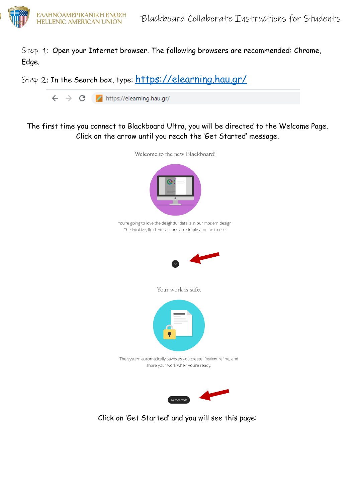

Step 1: Open your Internet browser. The following browsers are recommended: Chrome, Edge.

Step 2: In the Search box, type: <https://elearning.hau.gr/>

 $\leftarrow$   $\rightarrow$  C  $\rightarrow$  https://elearning.hau.gr/

## Τhe first time you connect to Blackboard Ultra, you will be directed to the Welcome Page. Click on the arrow until you reach the 'Get Started' message.



Click on 'Get Started' and you will see this page: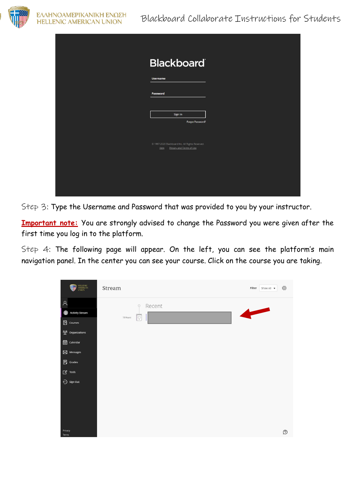

| <b>Blackboard</b>                                                                 |
|-----------------------------------------------------------------------------------|
| <b>Username</b>                                                                   |
| Password                                                                          |
|                                                                                   |
| Sign In<br>Forgot Password?                                                       |
|                                                                                   |
| @ 1997-2020 Blackboard Inc. All Rights Reserved.<br>Help Privacy and Terms of Use |
|                                                                                   |
|                                                                                   |
|                                                                                   |

Step 3: Type the Username and Password that was provided to you by your instructor.

**Important note:** You are strongly advised to change the Password you were given after the first time you log in to the platform.

Step 4: The following page will appear. On the left, you can see the platform's main navigation panel. In the center you can see your course. Click on the course you are taking.